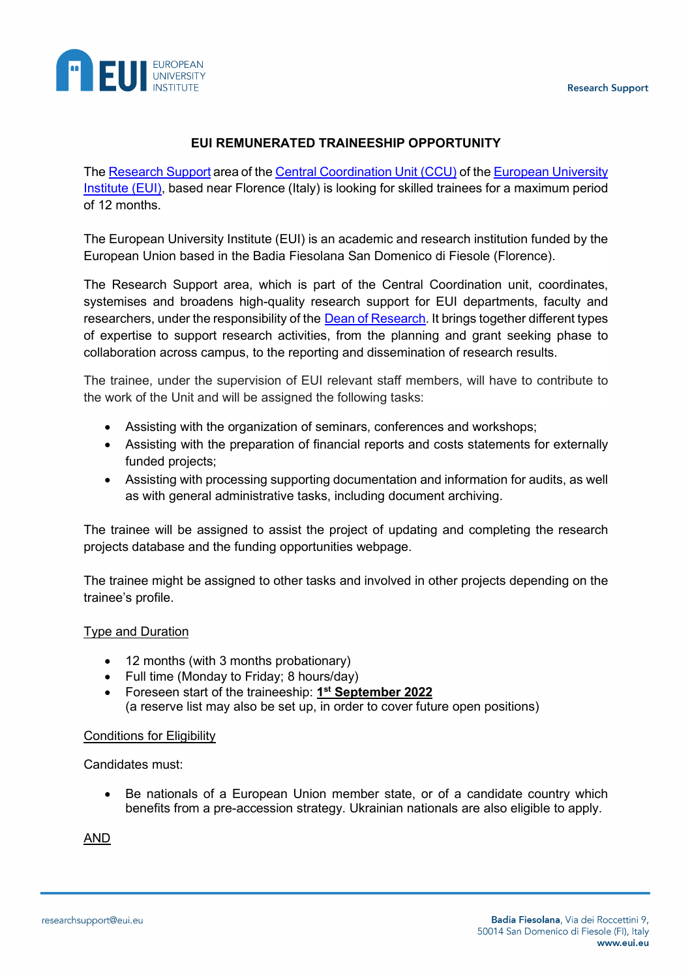

## **EUI REMUNERATED TRAINEESHIP OPPORTUNITY**

The [Research Support](https://www.eui.eu/en/public/about/central-coordination-unit/research-support) area of the [Central Coordination Unit \(CCU\)](https://www.eui.eu/en/public/about/central-coordination-unit) of the [European University](https://www.eui.eu/en/home)  [Institute \(EUI\),](https://www.eui.eu/en/home) based near Florence (Italy) is looking for skilled trainees for a maximum period of 12 months.

The European University Institute (EUI) is an academic and research institution funded by the European Union based in the Badia Fiesolana San Domenico di Fiesole (Florence).

The Research Support area, which is part of the Central Coordination unit, coordinates, systemises and broadens high-quality research support for EUI departments, faculty and researchers, under the responsibility of the Dean [of Research.](https://www.eui.eu/en/public/about/deans) It brings together different types of expertise to support research activities, from the planning and grant seeking phase to collaboration across campus, to the reporting and dissemination of research results.

The trainee, under the supervision of EUI relevant staff members, will have to contribute to the work of the Unit and will be assigned the following tasks:

- Assisting with the organization of seminars, conferences and workshops;
- Assisting with the preparation of financial reports and costs statements for externally funded projects;
- Assisting with processing supporting documentation and information for audits, as well as with general administrative tasks, including document archiving.

The trainee will be assigned to assist the project of updating and completing the research projects database and the funding opportunities webpage.

The trainee might be assigned to other tasks and involved in other projects depending on the trainee's profile.

### Type and Duration

- 12 months (with 3 months probationary)
- Full time (Monday to Friday; 8 hours/day)
- Foreseen start of the traineeship: **1st September 2022** (a reserve list may also be set up, in order to cover future open positions)

#### Conditions for Eligibility

Candidates must:

• Be nationals of a European Union member state, or of a candidate country which benefits from a pre-accession strategy. Ukrainian nationals are also eligible to apply.

AND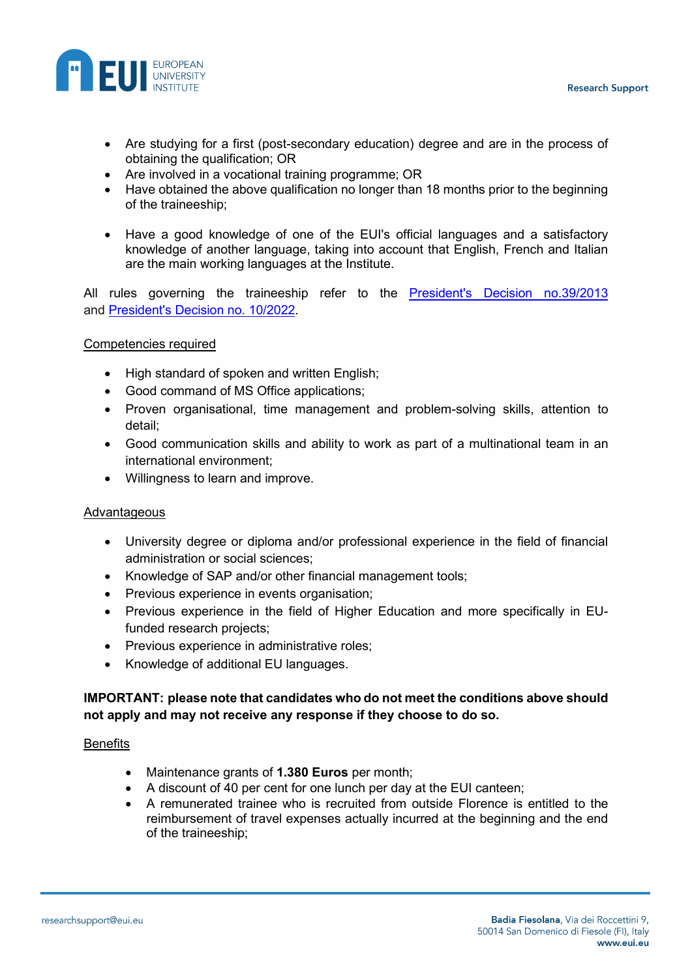

- Are studying for a first (post-secondary education) degree and are in the process of obtaining the qualification; OR
- Are involved in a vocational training programme; OR
- Have obtained the above qualification no longer than 18 months prior to the beginning of the traineeship;
- Have a good knowledge of one of the EUI's official languages and a satisfactory knowledge of another language, taking into account that English, French and Italian are the main working languages at the Institute.

All rules governing the traineeship refer to the **[President's Decision no.39/2013](https://www.eui.eu/Documents/AboutEUI/JobOpportunities/Presidents-Decision-392013.pdf)** and [President's Decision](https://www.eui.eu/Documents/AboutEUI/JobOpportunities/PD-10-2022.pdf) no. 10/2022.

### Competencies required

- High standard of spoken and written English;
- Good command of MS Office applications;
- Proven organisational, time management and problem-solving skills, attention to detail;
- Good communication skills and ability to work as part of a multinational team in an international environment;
- Willingness to learn and improve.

### Advantageous

- University degree or diploma and/or professional experience in the field of financial administration or social sciences;
- Knowledge of SAP and/or other financial management tools;
- Previous experience in events organisation;
- Previous experience in the field of Higher Education and more specifically in EUfunded research projects;
- Previous experience in administrative roles;
- Knowledge of additional EU languages.

## **IMPORTANT: please note that candidates who do not meet the conditions above should not apply and may not receive any response if they choose to do so.**

#### **Benefits**

- Maintenance grants of **1.380 Euros** per month;
- A discount of 40 per cent for one lunch per day at the EUI canteen;
- A remunerated trainee who is recruited from outside Florence is entitled to the reimbursement of travel expenses actually incurred at the beginning and the end of the traineeship;